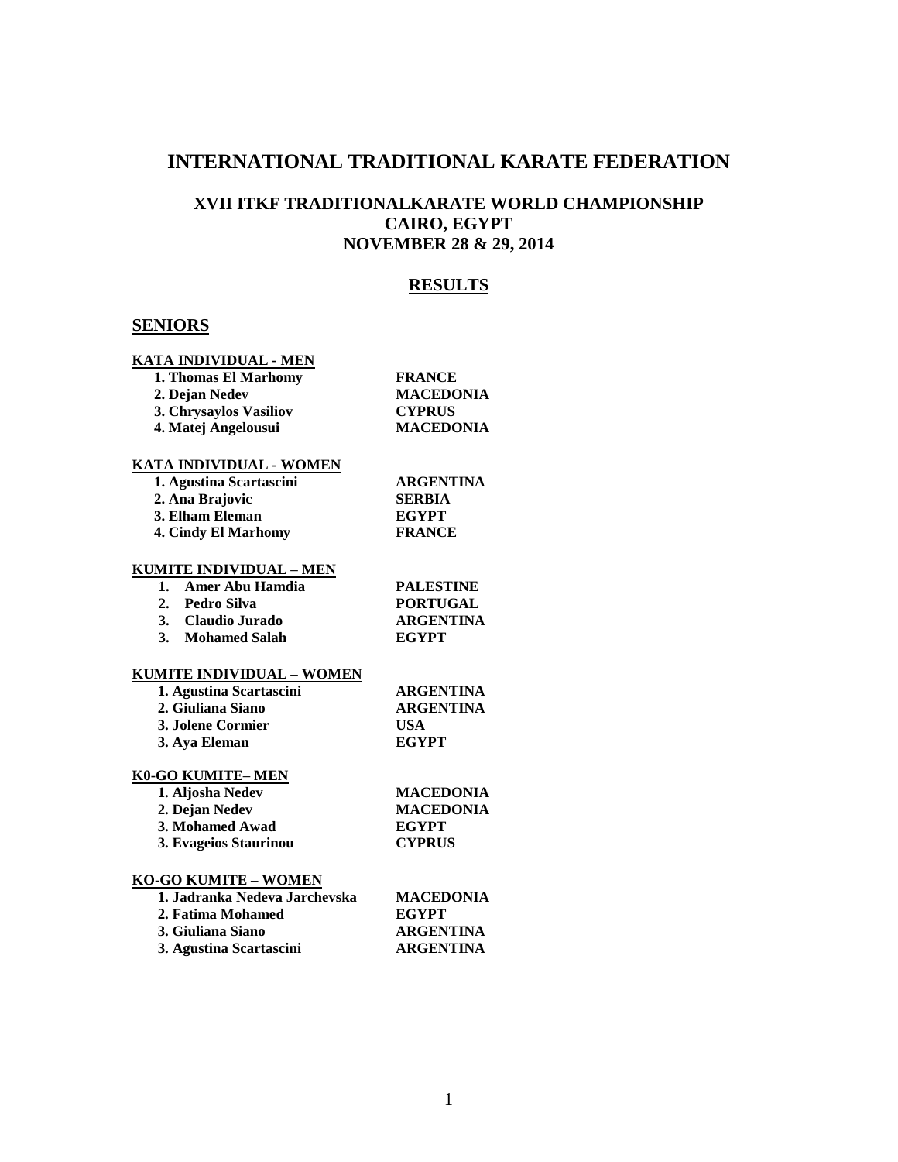# **INTERNATIONAL TRADITIONAL KARATE FEDERATION**

# **XVII ITKF TRADITIONALKARATE WORLD CHAMPIONSHIP CAIRO, EGYPT NOVEMBER 28 & 29, 2014**

# **RESULTS**

# **SENIORS**

### **KATA INDIVIDUAL - MEN**

| 1. Thomas El Marhomy            | <b>FRANCE</b>    |
|---------------------------------|------------------|
| 2. Dejan Nedev                  | <b>MACEDONIA</b> |
| 3. Chrysaylos Vasiliov          | <b>CYPRUS</b>    |
| 4. Matej Angelousui             | <b>MACEDONIA</b> |
| KATA INDIVIDUAL - WOMEN         |                  |
| 1. Agustina Scartascini         | ARGENTINA        |
| 2. Ana Brajovic                 | <b>SERBIA</b>    |
| 3. Elham Eleman                 | <b>EGYPT</b>     |
| 4. Cindy El Marhomy             | <b>FRANCE</b>    |
| <u> KUMITE INDIVIDUAL – MEN</u> |                  |
| Amer Abu Hamdia<br>1.           | <b>PALESTINE</b> |
| 2. Pedro Silva                  | <b>PORTUGAL</b>  |
| 3. Claudio Jurado               | <b>ARGENTINA</b> |
| 3. Mohamed Salah                | <b>EGYPT</b>     |
| KUMITE INDIVIDUAL – WOMEN       |                  |
| 1. Agustina Scartascini         | <b>ARGENTINA</b> |
| 2. Giuliana Siano               | <b>ARGENTINA</b> |
| 3. Jolene Cormier               | <b>USA</b>       |
| 3. Aya Eleman                   | <b>EGYPT</b>     |
|                                 |                  |

## **K0-GO KUMITE– MEN**

| <b>MACEDONIA</b> |
|------------------|
| <b>MACEDONIA</b> |
| <b>EGYPT</b>     |
| <b>CYPRUS</b>    |
|                  |

## **KO-GO KUMITE – WOMEN**

| 1. Jadranka Nedeva Jarchevska | <b>MACEDONIA</b> |
|-------------------------------|------------------|
| 2. Fatima Mohamed             | <b>EGYPT</b>     |
| 3. Giuliana Siano             | <b>ARGENTINA</b> |
| 3. Agustina Scartascini       | <b>ARGENTINA</b> |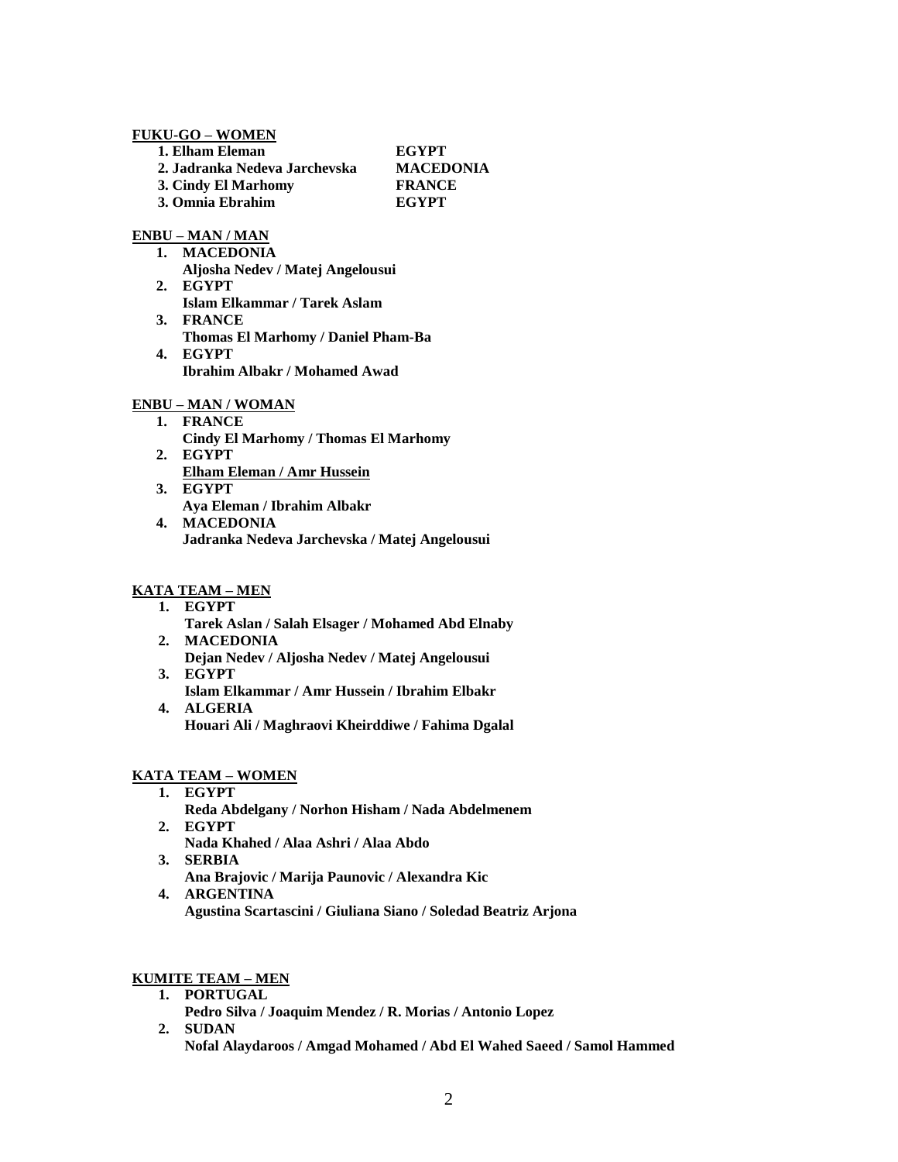### **FUKU-GO – WOMEN**

| <b>EGYPT</b>     |
|------------------|
| <b>MACEDONIA</b> |
| <b>FRANCE</b>    |
| <b>EGYPT</b>     |
|                  |

### **ENBU – MAN / MAN**

- **1. MACEDONIA Aljosha Nedev / Matej Angelousui**
- **2. EGYPT Islam Elkammar / Tarek Aslam 3. FRANCE**
- **Thomas El Marhomy / Daniel Pham-Ba 4. EGYPT Ibrahim Albakr / Mohamed Awad**

### **ENBU – MAN / WOMAN**

- **1. FRANCE**
	- **Cindy El Marhomy / Thomas El Marhomy**
- **2. EGYPT Elham Eleman / Amr Hussein**
- **3. EGYPT Aya Eleman / Ibrahim Albakr**
- **4. MACEDONIA Jadranka Nedeva Jarchevska / Matej Angelousui**

# **KATA TEAM – MEN**

- **1. EGYPT** 
	- **Tarek Aslan / Salah Elsager / Mohamed Abd Elnaby**
- **2. MACEDONIA Dejan Nedev / Aljosha Nedev / Matej Angelousui 3. EGYPT**
- **Islam Elkammar / Amr Hussein / Ibrahim Elbakr 4. ALGERIA**
- **Houari Ali / Maghraovi Kheirddiwe / Fahima Dgalal**

# **KATA TEAM – WOMEN**

- **1. EGYPT Reda Abdelgany / Norhon Hisham / Nada Abdelmenem**
- **2. EGYPT Nada Khahed / Alaa Ashri / Alaa Abdo**
- **3. SERBIA**
	- **Ana Brajovic / Marija Paunovic / Alexandra Kic**
- **4. ARGENTINA Agustina Scartascini / Giuliana Siano / Soledad Beatriz Arjona**

### **KUMITE TEAM – MEN**

- **1. PORTUGAL**
- **Pedro Silva / Joaquim Mendez / R. Morias / Antonio Lopez 2. SUDAN**

**Nofal Alaydaroos / Amgad Mohamed / Abd El Wahed Saeed / Samol Hammed**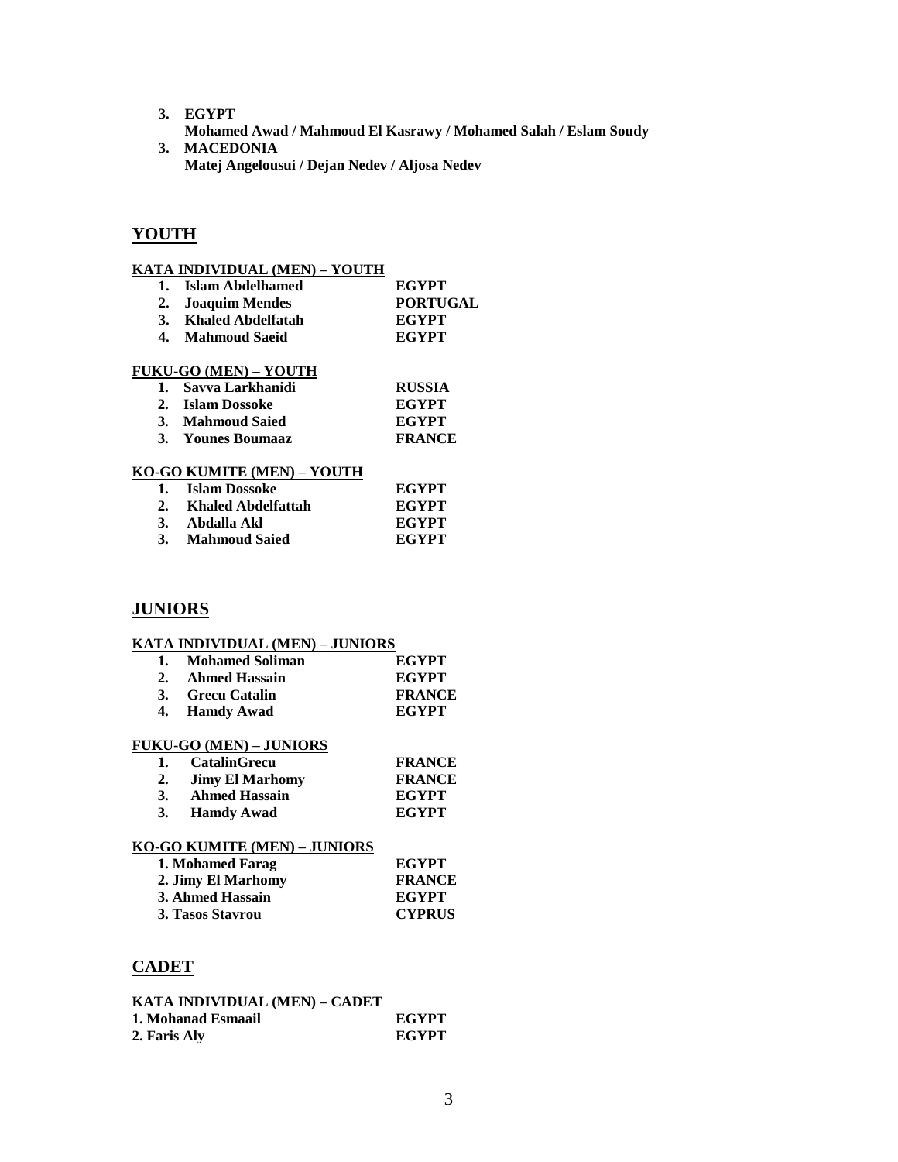- **3. EGYPT**
- **Mohamed Awad / Mahmoud El Kasrawy / Mohamed Salah / Eslam Soudy 3. MACEDONIA**
	- **Matej Angelousui / Dejan Nedev / Aljosa Nedev**

# **YOUTH**

### **KATA INDIVIDUAL (MEN) – YOUTH**

1. **Islam Abdelhamed EGYPT**<br>
2. **Joaquim Mendes PORTUGAL 2. Joaquim Mendes 3. Khaled Abdelfatah EGYPT 4. Mahmoud Saeid EGYPT**

# **FUKU-GO (MEN) – YOUTH**

| 1. Savva Larkhanidi | <b>RUSSIA</b> |
|---------------------|---------------|
| 2. Islam Dossoke    | EGYPT         |
| 3. Mahmoud Saied    | EGYPT         |
| 3. Younes Boumaaz   | <b>FRANCE</b> |

### **KO-GO KUMITE (MEN) – YOUTH**

| 1. Islam Dossoke     | <b>EGYPT</b> |
|----------------------|--------------|
| Khaled Abdelfattah   | <b>EGYPT</b> |
| Abdalla Akl          | EGYPT        |
| <b>Mahmoud Saied</b> | <b>EGYPT</b> |

## **JUNIORS**

#### **KATA INDIVIDUAL (MEN) – JUNIORS**

| 1. Mohamed Soliman | <b>EGYPT</b>  |
|--------------------|---------------|
| 2. Ahmed Hassain   | <b>EGYPT</b>  |
| 3. Grecu Catalin   | <b>FRANCE</b> |
| 4. Hamdy Awad      | <b>EGYPT</b>  |

#### **FUKU-GO (MEN) – JUNIORS**

| 1.        | <b>CatalinGrecu</b>  | <b>FRANCE</b> |
|-----------|----------------------|---------------|
|           | 2. Jimy El Marhomy   | <b>FRANCE</b> |
|           | <b>Ahmed Hassain</b> | <b>EGYPT</b>  |
| <b>3.</b> | <b>Hamdy Awad</b>    | <b>EGYPT</b>  |

### **KO-GO KUMITE (MEN) – JUNIORS**

| 1. Mohamed Farag   | <b>EGYPT</b>  |
|--------------------|---------------|
| 2. Jimy El Marhomy | <b>FRANCE</b> |
| 3. Ahmed Hassain   | <b>EGYPT</b>  |
| 3. Tasos Stavrou   | <b>CYPRUS</b> |

## **CADET**

| KATA INDIVIDUAL (MEN) – CADET |              |
|-------------------------------|--------------|
| 1. Mohanad Esmaail            | <b>EGYPT</b> |
| 2. Faris Aly                  | <b>EGYPT</b> |